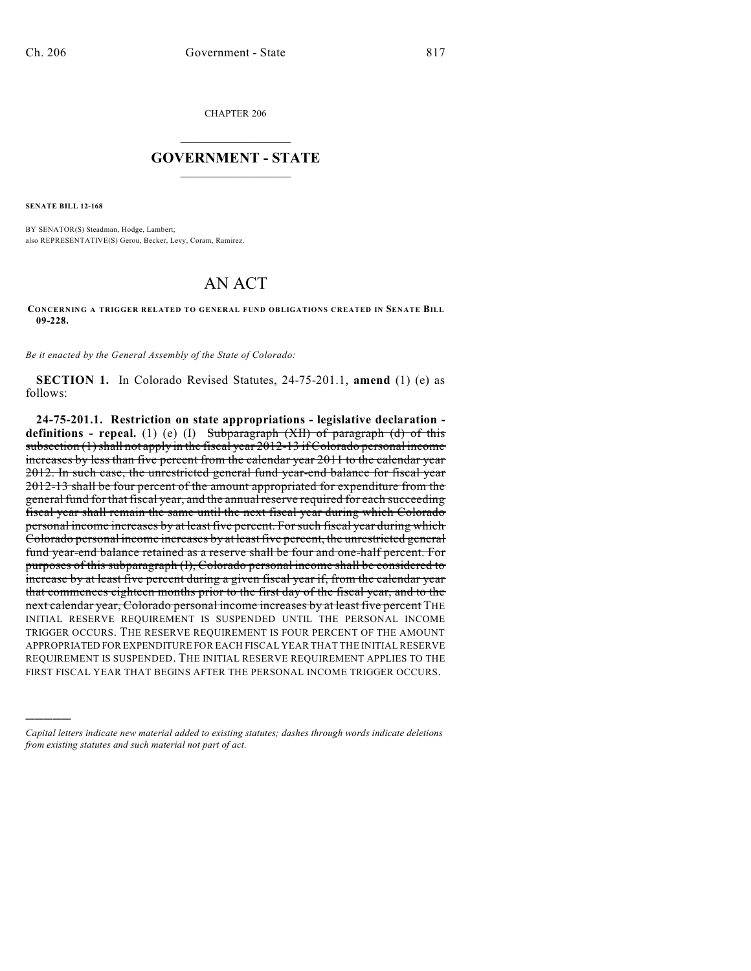CHAPTER 206

## $\mathcal{L}_\text{max}$  . The set of the set of the set of the set of the set of the set of the set of the set of the set of the set of the set of the set of the set of the set of the set of the set of the set of the set of the set **GOVERNMENT - STATE**  $\_$   $\_$   $\_$   $\_$   $\_$   $\_$   $\_$   $\_$

**SENATE BILL 12-168**

)))))

BY SENATOR(S) Steadman, Hodge, Lambert; also REPRESENTATIVE(S) Gerou, Becker, Levy, Coram, Ramirez.

## AN ACT

**CONCERNING A TRIGGER RELATED TO GENERAL FUND OBLIGATIONS CREATED IN SENATE BILL 09-228.**

*Be it enacted by the General Assembly of the State of Colorado:*

**SECTION 1.** In Colorado Revised Statutes, 24-75-201.1, **amend** (1) (e) as follows:

**24-75-201.1. Restriction on state appropriations - legislative declaration definitions - repeal.** (1) (e) (I) Subparagraph (XII) of paragraph (d) of this subsection (1) shall not apply in the fiscal year 2012-13 if Colorado personal income increases by less than five percent from the calendar year 2011 to the calendar year 2012. In such case, the unrestricted general fund year-end balance for fiscal year 2012-13 shall be four percent of the amount appropriated for expenditure from the general fund for that fiscal year, and the annualreserve required for each succeeding fiscal year shall remain the same until the next fiscal year during which Colorado personal income increases by at least five percent. For such fiscal year during which Colorado personal income increases by at least five percent, the unrestricted general fund year-end balance retained as a reserve shall be four and one-half percent. For purposes of this subparagraph (I), Colorado personal income shall be considered to increase by at least five percent during a given fiscal year if, from the calendar year that commences eighteen months prior to the first day of the fiscal year, and to the next calendar year, Colorado personal income increases by at least five percent THE INITIAL RESERVE REQUIREMENT IS SUSPENDED UNTIL THE PERSONAL INCOME TRIGGER OCCURS. THE RESERVE REQUIREMENT IS FOUR PERCENT OF THE AMOUNT APPROPRIATED FOR EXPENDITURE FOR EACH FISCAL YEAR THAT THE INITIAL RESERVE REQUIREMENT IS SUSPENDED. THE INITIAL RESERVE REQUIREMENT APPLIES TO THE FIRST FISCAL YEAR THAT BEGINS AFTER THE PERSONAL INCOME TRIGGER OCCURS.

*Capital letters indicate new material added to existing statutes; dashes through words indicate deletions from existing statutes and such material not part of act.*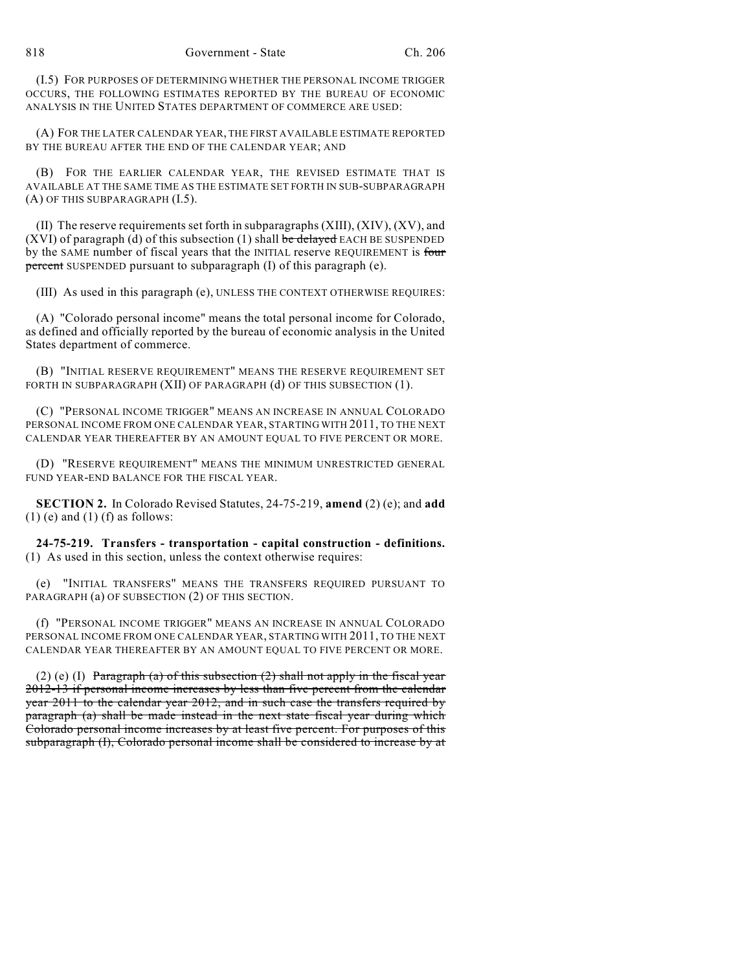(I.5) FOR PURPOSES OF DETERMINING WHETHER THE PERSONAL INCOME TRIGGER OCCURS, THE FOLLOWING ESTIMATES REPORTED BY THE BUREAU OF ECONOMIC ANALYSIS IN THE UNITED STATES DEPARTMENT OF COMMERCE ARE USED:

(A) FOR THE LATER CALENDAR YEAR, THE FIRST AVAILABLE ESTIMATE REPORTED BY THE BUREAU AFTER THE END OF THE CALENDAR YEAR; AND

(B) FOR THE EARLIER CALENDAR YEAR, THE REVISED ESTIMATE THAT IS AVAILABLE AT THE SAME TIME AS THE ESTIMATE SET FORTH IN SUB-SUBPARAGRAPH (A) OF THIS SUBPARAGRAPH (I.5).

(II) The reserve requirements set forth in subparagraphs  $(XIII)$ ,  $(XIV)$ ,  $(XV)$ , and (XVI) of paragraph (d) of this subsection (1) shall be delayed EACH BE SUSPENDED by the SAME number of fiscal years that the INITIAL reserve REQUIREMENT is four percent SUSPENDED pursuant to subparagraph (I) of this paragraph (e).

(III) As used in this paragraph (e), UNLESS THE CONTEXT OTHERWISE REQUIRES:

(A) "Colorado personal income" means the total personal income for Colorado, as defined and officially reported by the bureau of economic analysis in the United States department of commerce.

(B) "INITIAL RESERVE REQUIREMENT" MEANS THE RESERVE REQUIREMENT SET FORTH IN SUBPARAGRAPH (XII) OF PARAGRAPH (d) OF THIS SUBSECTION (1).

(C) "PERSONAL INCOME TRIGGER" MEANS AN INCREASE IN ANNUAL COLORADO PERSONAL INCOME FROM ONE CALENDAR YEAR, STARTING WITH 2011, TO THE NEXT CALENDAR YEAR THEREAFTER BY AN AMOUNT EQUAL TO FIVE PERCENT OR MORE.

(D) "RESERVE REQUIREMENT" MEANS THE MINIMUM UNRESTRICTED GENERAL FUND YEAR-END BALANCE FOR THE FISCAL YEAR.

**SECTION 2.** In Colorado Revised Statutes, 24-75-219, **amend** (2) (e); and **add**  $(1)$  (e) and  $(1)$  (f) as follows:

**24-75-219. Transfers - transportation - capital construction - definitions.** (1) As used in this section, unless the context otherwise requires:

(e) "INITIAL TRANSFERS" MEANS THE TRANSFERS REQUIRED PURSUANT TO PARAGRAPH (a) OF SUBSECTION (2) OF THIS SECTION.

(f) "PERSONAL INCOME TRIGGER" MEANS AN INCREASE IN ANNUAL COLORADO PERSONAL INCOME FROM ONE CALENDAR YEAR, STARTING WITH 2011, TO THE NEXT CALENDAR YEAR THEREAFTER BY AN AMOUNT EQUAL TO FIVE PERCENT OR MORE.

(2) (e) (I) Paragraph (a) of this subsection (2) shall not apply in the fiscal year 2012-13 if personal income increases by less than five percent from the calendar year 2011 to the calendar year 2012, and in such case the transfers required by paragraph (a) shall be made instead in the next state fiscal year during which Colorado personal income increases by at least five percent. For purposes of this subparagraph (I), Colorado personal income shall be considered to increase by at